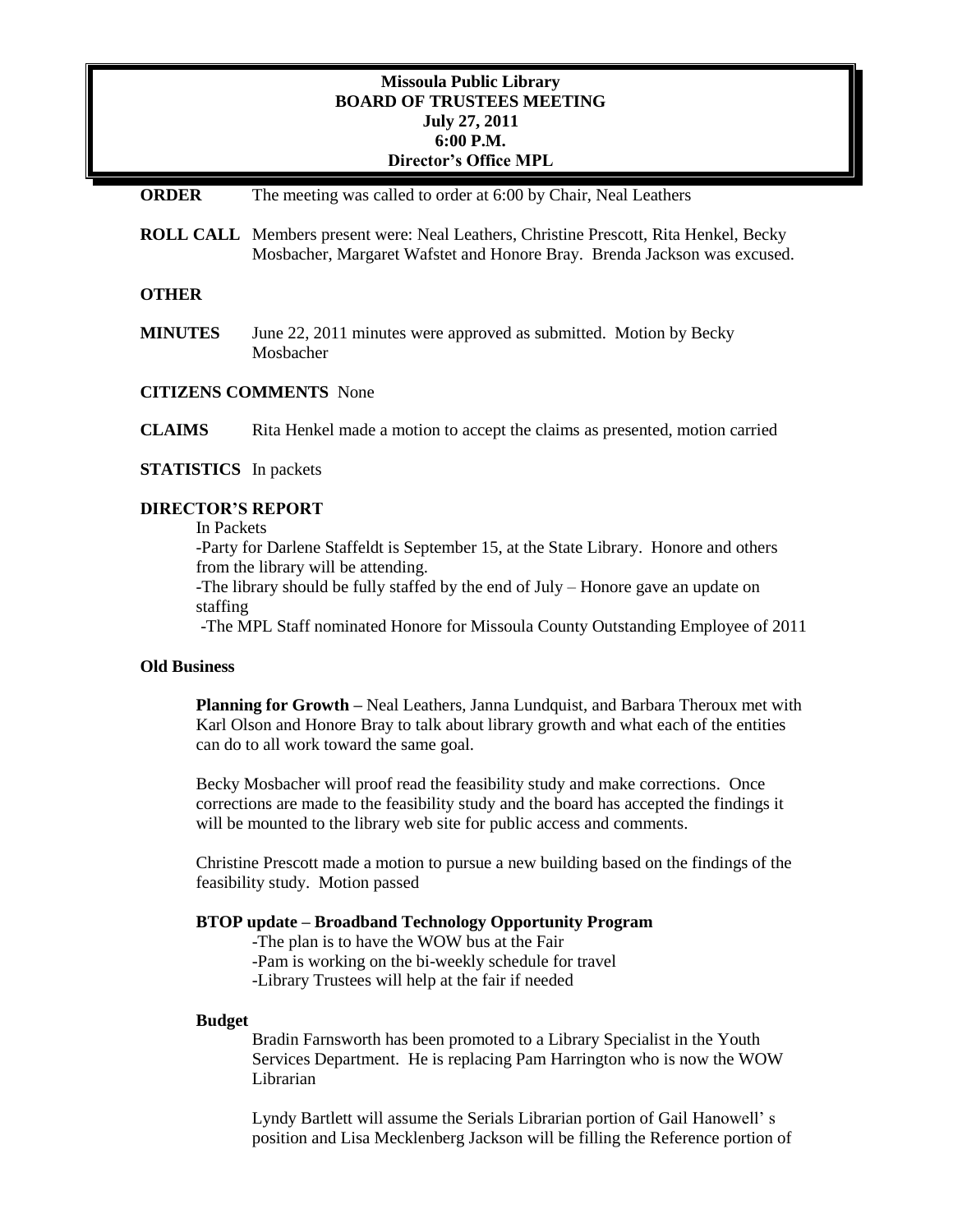# **Missoula Public Library BOARD OF TRUSTEES MEETING July 27, 2011 6:00 P.M. Director's Office MPL**

## **ORDER** The meeting was called to order at 6:00 by Chair, Neal Leathers

**ROLL CALL** Members present were: Neal Leathers, Christine Prescott, Rita Henkel, Becky Mosbacher, Margaret Wafstet and Honore Bray. Brenda Jackson was excused.

## **OTHER**

**MINUTES** June 22, 2011 minutes were approved as submitted. Motion by Becky Mosbacher

#### **CITIZENS COMMENTS** None

**CLAIMS** Rita Henkel made a motion to accept the claims as presented, motion carried

### **STATISTICS** In packets

### **DIRECTOR'S REPORT**

### In Packets

-Party for Darlene Staffeldt is September 15, at the State Library. Honore and others from the library will be attending.

-The library should be fully staffed by the end of July – Honore gave an update on staffing

-The MPL Staff nominated Honore for Missoula County Outstanding Employee of 2011

### **Old Business**

**Planning for Growth –** Neal Leathers, Janna Lundquist, and Barbara Theroux met with Karl Olson and Honore Bray to talk about library growth and what each of the entities can do to all work toward the same goal.

Becky Mosbacher will proof read the feasibility study and make corrections. Once corrections are made to the feasibility study and the board has accepted the findings it will be mounted to the library web site for public access and comments.

Christine Prescott made a motion to pursue a new building based on the findings of the feasibility study. Motion passed

#### **BTOP update – Broadband Technology Opportunity Program**

-The plan is to have the WOW bus at the Fair

-Pam is working on the bi-weekly schedule for travel

-Library Trustees will help at the fair if needed

#### **Budget**

Bradin Farnsworth has been promoted to a Library Specialist in the Youth Services Department. He is replacing Pam Harrington who is now the WOW Librarian

Lyndy Bartlett will assume the Serials Librarian portion of Gail Hanowell' s position and Lisa Mecklenberg Jackson will be filling the Reference portion of